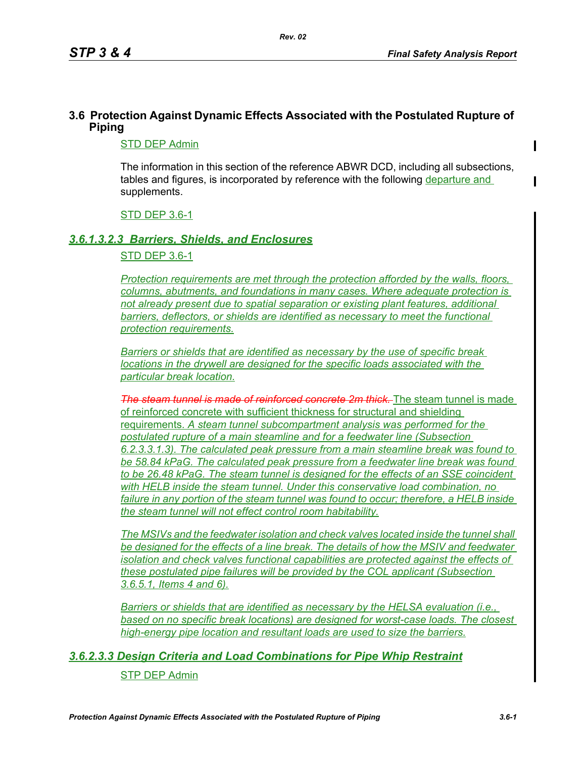$\mathbf I$ 

# **3.6 Protection Against Dynamic Effects Associated with the Postulated Rupture of Piping**

## STD DEP Admin

The information in this section of the reference ABWR DCD, including all subsections, tables and figures, is incorporated by reference with the following departure and supplements.

## STD DEP 3.6-1

## *3.6.1.3.2.3 Barriers, Shields, and Enclosures*

STD DEP 3.6-1

*Protection requirements are met through the protection afforded by the walls, floors, columns, abutments, and foundations in many cases. Where adequate protection is not already present due to spatial separation or existing plant features, additional barriers, deflectors, or shields are identified as necessary to meet the functional protection requirements.*

*Barriers or shields that are identified as necessary by the use of specific break locations in the drywell are designed for the specific loads associated with the particular break location.*

*The steam tunnel is made of reinforced concrete 2m thick.* The steam tunnel is made of reinforced concrete with sufficient thickness for structural and shielding requirements. *A steam tunnel subcompartment analysis was performed for the postulated rupture of a main steamline and for a feedwater line (Subsection 6.2.3.3.1.3). The calculated peak pressure from a main steamline break was found to be 58.84 kPaG. The calculated peak pressure from a feedwater line break was found to be 26.48 kPaG. The steam tunnel is designed for the effects of an SSE coincident with HELB inside the steam tunnel. Under this conservative load combination, no failure in any portion of the steam tunnel was found to occur; therefore, a HELB inside the steam tunnel will not effect control room habitability.*

*The MSIVs and the feedwater isolation and check valves located inside the tunnel shall be designed for the effects of a line break. The details of how the MSIV and feedwater isolation and check valves functional capabilities are protected against the effects of these postulated pipe failures will be provided by the COL applicant (Subsection 3.6.5.1, Items 4 and 6).*

*Barriers or shields that are identified as necessary by the HELSA evaluation (i.e., based on no specific break locations) are designed for worst-case loads. The closest high-energy pipe location and resultant loads are used to size the barriers.*

## *3.6.2.3.3 Design Criteria and Load Combinations for Pipe Whip Restraint*

STP DEP Admin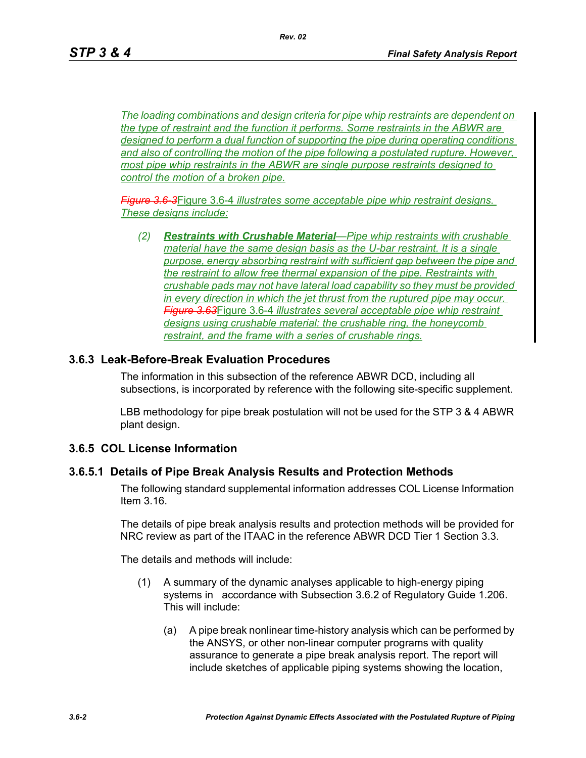*The loading combinations and design criteria for pipe whip restraints are dependent on the type of restraint and the function it performs. Some restraints in the ABWR are designed to perform a dual function of supporting the pipe during operating conditions and also of controlling the motion of the pipe following a postulated rupture. However, most pipe whip restraints in the ABWR are single purpose restraints designed to control the motion of a broken pipe.*

*Figure 3.6-3*Figure 3.6-4 *illustrates some acceptable pipe whip restraint designs. These designs include:*

*(2) Restraints with Crushable Material—Pipe whip restraints with crushable material have the same design basis as the U-bar restraint. It is a single purpose, energy absorbing restraint with sufficient gap between the pipe and the restraint to allow free thermal expansion of the pipe. Restraints with crushable pads may not have lateral load capability so they must be provided in every direction in which the jet thrust from the ruptured pipe may occur. Figure 3.63*Figure 3.6-4 *illustrates several acceptable pipe whip restraint designs using crushable material: the crushable ring, the honeycomb restraint, and the frame with a series of crushable rings.*

#### **3.6.3 Leak-Before-Break Evaluation Procedures**

The information in this subsection of the reference ABWR DCD, including all subsections, is incorporated by reference with the following site-specific supplement.

LBB methodology for pipe break postulation will not be used for the STP 3 & 4 ABWR plant design.

#### **3.6.5 COL License Information**

#### **3.6.5.1 Details of Pipe Break Analysis Results and Protection Methods**

The following standard supplemental information addresses COL License Information Item 3.16.

The details of pipe break analysis results and protection methods will be provided for NRC review as part of the ITAAC in the reference ABWR DCD Tier 1 Section 3.3.

The details and methods will include:

- (1) A summary of the dynamic analyses applicable to high-energy piping systems in accordance with Subsection 3.6.2 of Regulatory Guide 1.206. This will include:
	- (a) A pipe break nonlinear time-history analysis which can be performed by the ANSYS, or other non-linear computer programs with quality assurance to generate a pipe break analysis report. The report will include sketches of applicable piping systems showing the location,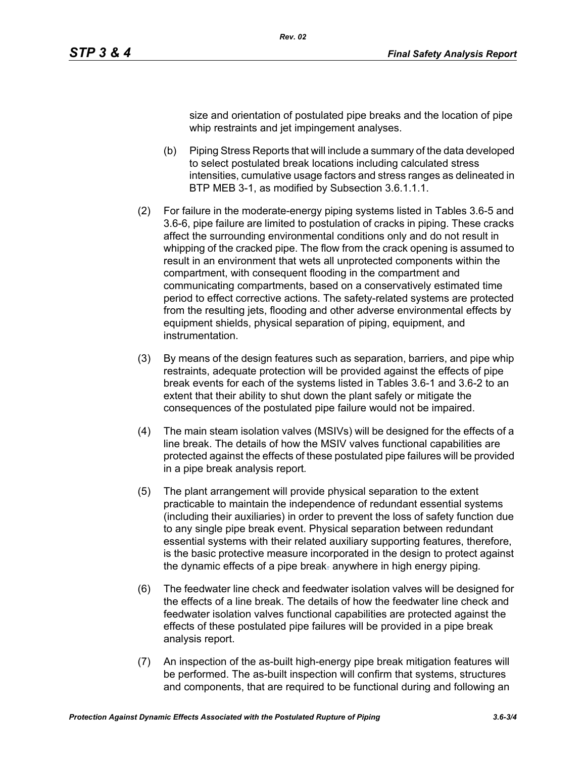size and orientation of postulated pipe breaks and the location of pipe whip restraints and jet impingement analyses.

- (b) Piping Stress Reports that will include a summary of the data developed to select postulated break locations including calculated stress intensities, cumulative usage factors and stress ranges as delineated in BTP MEB 3-1, as modified by Subsection 3.6.1.1.1.
- (2) For failure in the moderate-energy piping systems listed in Tables 3.6-5 and 3.6-6, pipe failure are limited to postulation of cracks in piping. These cracks affect the surrounding environmental conditions only and do not result in whipping of the cracked pipe. The flow from the crack opening is assumed to result in an environment that wets all unprotected components within the compartment, with consequent flooding in the compartment and communicating compartments, based on a conservatively estimated time period to effect corrective actions. The safety-related systems are protected from the resulting jets, flooding and other adverse environmental effects by equipment shields, physical separation of piping, equipment, and instrumentation.
- (3) By means of the design features such as separation, barriers, and pipe whip restraints, adequate protection will be provided against the effects of pipe break events for each of the systems listed in Tables 3.6-1 and 3.6-2 to an extent that their ability to shut down the plant safely or mitigate the consequences of the postulated pipe failure would not be impaired.
- (4) The main steam isolation valves (MSIVs) will be designed for the effects of a line break. The details of how the MSIV valves functional capabilities are protected against the effects of these postulated pipe failures will be provided in a pipe break analysis report*.*
- (5) The plant arrangement will provide physical separation to the extent practicable to maintain the independence of redundant essential systems (including their auxiliaries) in order to prevent the loss of safety function due to any single pipe break event. Physical separation between redundant essential systems with their related auxiliary supporting features, therefore, is the basic protective measure incorporated in the design to protect against the dynamic effects of a pipe break. anywhere in high energy piping*.*
- (6) The feedwater line check and feedwater isolation valves will be designed for the effects of a line break. The details of how the feedwater line check and feedwater isolation valves functional capabilities are protected against the effects of these postulated pipe failures will be provided in a pipe break analysis report.
- (7) An inspection of the as-built high-energy pipe break mitigation features will be performed. The as-built inspection will confirm that systems, structures and components, that are required to be functional during and following an